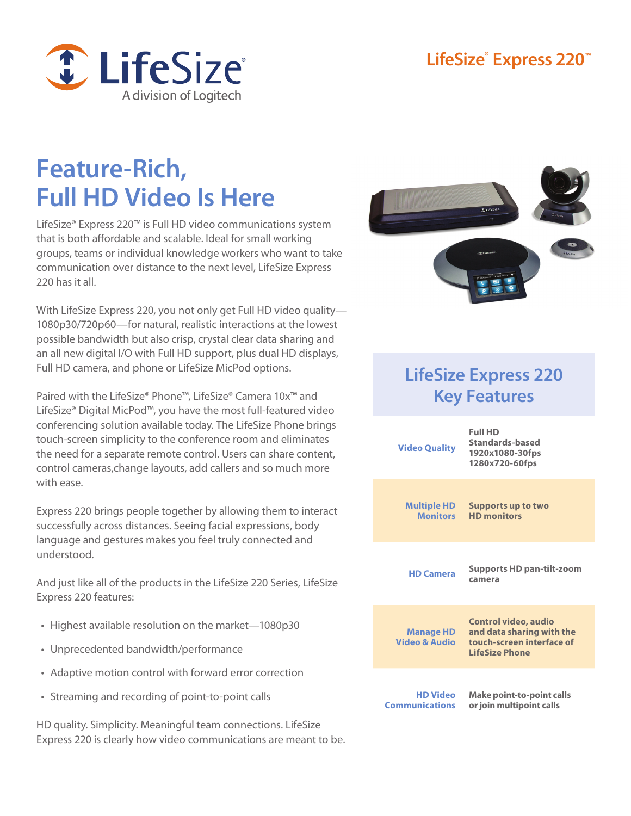### **LifeSize® Express 220™**



# **Feature-Rich, Full HD Video Is Here**

LifeSize® Express 220™ is Full HD video communications system that is both affordable and scalable. Ideal for small working groups, teams or individual knowledge workers who want to take communication over distance to the next level, LifeSize Express 220 has it all.

With LifeSize Express 220, you not only get Full HD video quality— 1080p30/720p60—for natural, realistic interactions at the lowest possible bandwidth but also crisp, crystal clear data sharing and an all new digital I/O with Full HD support, plus dual HD displays, Full HD camera, and phone or LifeSize MicPod options.

Paired with the LifeSize® Phone™, LifeSize® Camera 10x™ and LifeSize® Digital MicPod™, you have the most full-featured video conferencing solution available today. The LifeSize Phone brings touch-screen simplicity to the conference room and eliminates the need for a separate remote control. Users can share content, control cameras,change layouts, add callers and so much more with ease.

Express 220 brings people together by allowing them to interact successfully across distances. Seeing facial expressions, body language and gestures makes you feel truly connected and understood.

And just like all of the products in the LifeSize 220 Series, LifeSize Express 220 features:

- Highest available resolution on the market-1080p30
- • Unprecedented bandwidth/performance
- Adaptive motion control with forward error correction
- • Streaming and recording of point-to-point calls

HD quality. Simplicity. Meaningful team connections. LifeSize Express 220 is clearly how video communications are meant to be.



## **LifeSize Express 220 Key Features**

| <b>Video Quality</b>                     | <b>Full HD</b><br>Standards-based<br>1920x1080-30fps<br>1280x720-60fps                                         |
|------------------------------------------|----------------------------------------------------------------------------------------------------------------|
| <b>Multiple HD</b><br><b>Monitors</b>    | <b>Supports up to two</b><br><b>HD</b> monitors                                                                |
| <b>HD Camera</b>                         | <b>Supports HD pan-tilt-zoom</b><br>camera                                                                     |
| <b>Manage HD</b><br>Video & Audio        | <b>Control video, audio</b><br>and data sharing with the<br>touch-screen interface of<br><b>LifeSize Phone</b> |
| <b>HD Video</b><br><b>Communications</b> | <b>Make point-to-point calls</b><br>or join multipoint calls                                                   |